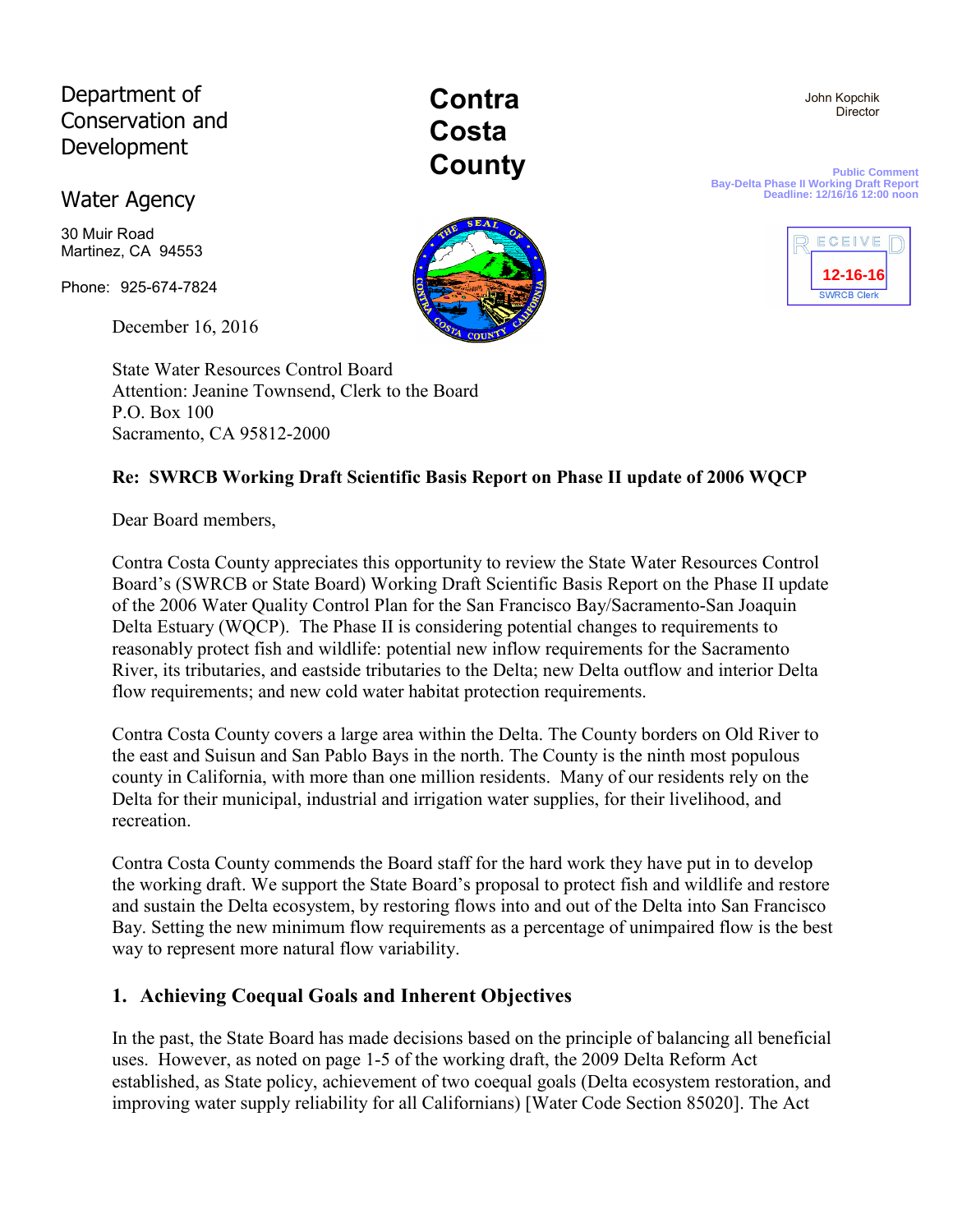# Department of Conservation and Development

## Water Agency

30 Muir Road Martinez, CA 94553

Phone: 925-674-7824

December 16, 2016

State Water Resources Control Board Attention: Jeanine Townsend, Clerk to the Board P.O. Box 100 Sacramento, CA 95812-2000

**Contra Costa County** 

**Public Comment Bay-Delta Phase II Working Draft Report Deadline: 12/16/16 12:00 noon**



 John Kopchik **Director** 

#### **Re: SWRCB Working Draft Scientific Basis Report on Phase II update of 2006 WQCP**

Dear Board members,

Contra Costa County appreciates this opportunity to review the State Water Resources Control Board's (SWRCB or State Board) Working Draft Scientific Basis Report on the Phase II update of the 2006 Water Quality Control Plan for the San Francisco Bay/Sacramento-San Joaquin Delta Estuary (WQCP). The Phase II is considering potential changes to requirements to reasonably protect fish and wildlife: potential new inflow requirements for the Sacramento River, its tributaries, and eastside tributaries to the Delta; new Delta outflow and interior Delta flow requirements; and new cold water habitat protection requirements.

Contra Costa County covers a large area within the Delta. The County borders on Old River to the east and Suisun and San Pablo Bays in the north. The County is the ninth most populous county in California, with more than one million residents. Many of our residents rely on the Delta for their municipal, industrial and irrigation water supplies, for their livelihood, and recreation.

Contra Costa County commends the Board staff for the hard work they have put in to develop the working draft. We support the State Board's proposal to protect fish and wildlife and restore and sustain the Delta ecosystem, by restoring flows into and out of the Delta into San Francisco Bay. Setting the new minimum flow requirements as a percentage of unimpaired flow is the best way to represent more natural flow variability.

## **1. Achieving Coequal Goals and Inherent Objectives**

In the past, the State Board has made decisions based on the principle of balancing all beneficial uses. However, as noted on page 1-5 of the working draft, the 2009 Delta Reform Act established, as State policy, achievement of two coequal goals (Delta ecosystem restoration, and improving water supply reliability for all Californians) [Water Code Section 85020]. The Act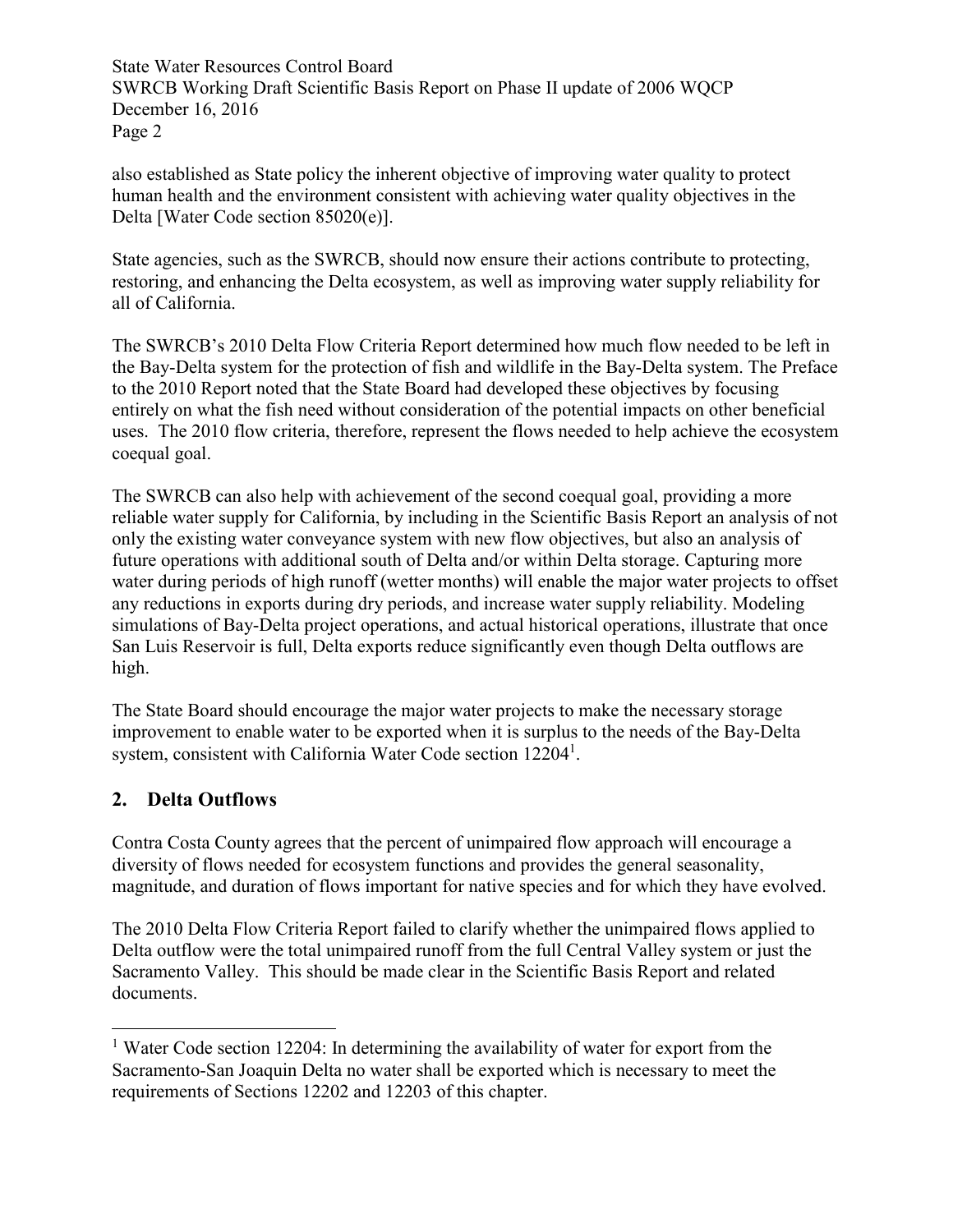also established as State policy the inherent objective of improving water quality to protect human health and the environment consistent with achieving water quality objectives in the Delta [Water Code section 85020(e)].

State agencies, such as the SWRCB, should now ensure their actions contribute to protecting, restoring, and enhancing the Delta ecosystem, as well as improving water supply reliability for all of California.

The SWRCB's 2010 Delta Flow Criteria Report determined how much flow needed to be left in the Bay-Delta system for the protection of fish and wildlife in the Bay-Delta system. The Preface to the 2010 Report noted that the State Board had developed these objectives by focusing entirely on what the fish need without consideration of the potential impacts on other beneficial uses. The 2010 flow criteria, therefore, represent the flows needed to help achieve the ecosystem coequal goal.

The SWRCB can also help with achievement of the second coequal goal, providing a more reliable water supply for California, by including in the Scientific Basis Report an analysis of not only the existing water conveyance system with new flow objectives, but also an analysis of future operations with additional south of Delta and/or within Delta storage. Capturing more water during periods of high runoff (wetter months) will enable the major water projects to offset any reductions in exports during dry periods, and increase water supply reliability. Modeling simulations of Bay-Delta project operations, and actual historical operations, illustrate that once San Luis Reservoir is full, Delta exports reduce significantly even though Delta outflows are high.

The State Board should encourage the major water projects to make the necessary storage improvement to enable water to be exported when it is surplus to the needs of the Bay-Delta system, consistent with California Water Code section 12204<sup>1</sup>.

#### **2. Delta Outflows**

-

Contra Costa County agrees that the percent of unimpaired flow approach will encourage a diversity of flows needed for ecosystem functions and provides the general seasonality, magnitude, and duration of flows important for native species and for which they have evolved.

The 2010 Delta Flow Criteria Report failed to clarify whether the unimpaired flows applied to Delta outflow were the total unimpaired runoff from the full Central Valley system or just the Sacramento Valley. This should be made clear in the Scientific Basis Report and related documents.

<sup>&</sup>lt;sup>1</sup> Water Code section 12204: In determining the availability of water for export from the Sacramento-San Joaquin Delta no water shall be exported which is necessary to meet the requirements of Sections 12202 and 12203 of this chapter.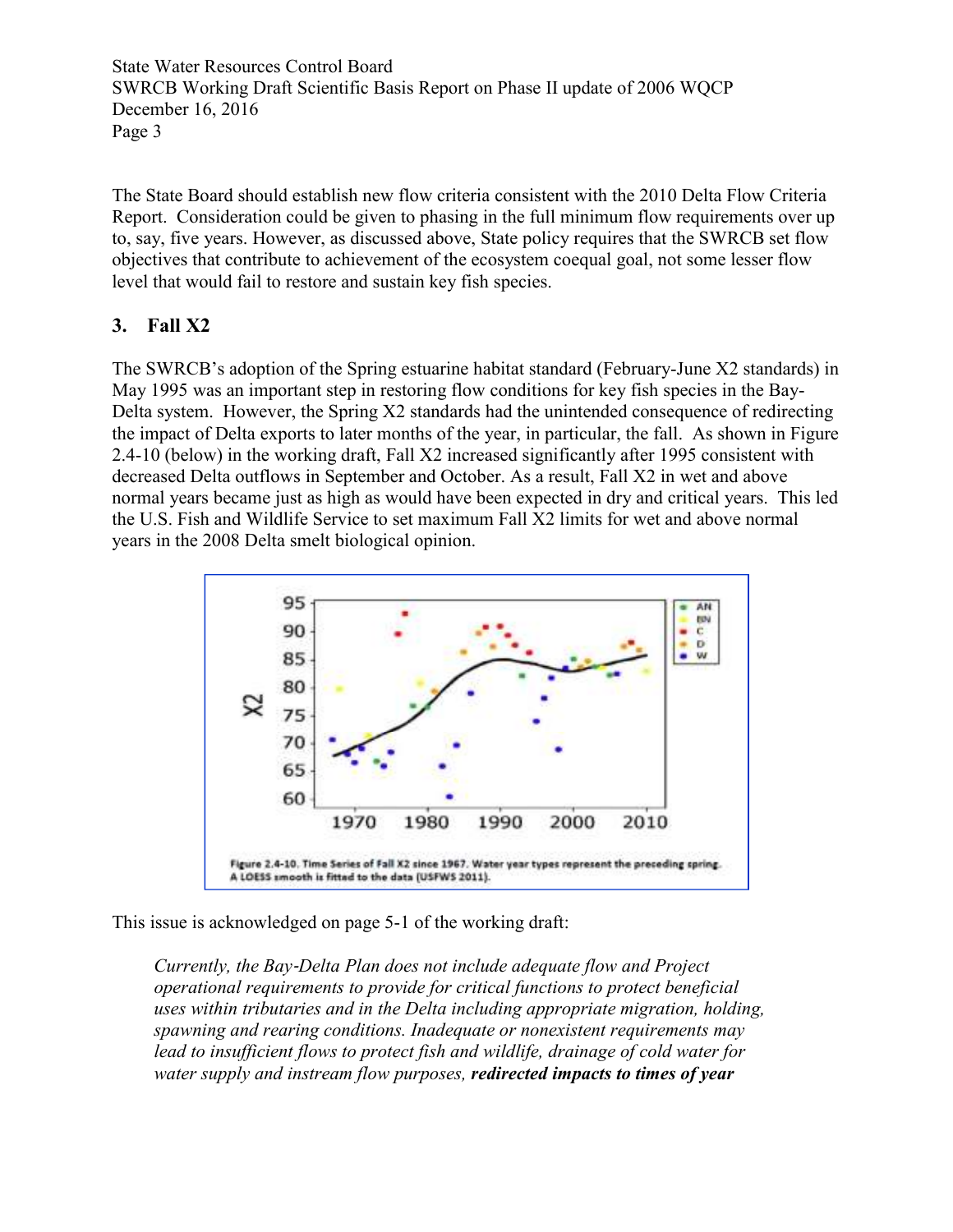The State Board should establish new flow criteria consistent with the 2010 Delta Flow Criteria Report. Consideration could be given to phasing in the full minimum flow requirements over up to, say, five years. However, as discussed above, State policy requires that the SWRCB set flow objectives that contribute to achievement of the ecosystem coequal goal, not some lesser flow level that would fail to restore and sustain key fish species.

#### **3. Fall X2**

The SWRCB's adoption of the Spring estuarine habitat standard (February-June X2 standards) in May 1995 was an important step in restoring flow conditions for key fish species in the Bay-Delta system. However, the Spring X2 standards had the unintended consequence of redirecting the impact of Delta exports to later months of the year, in particular, the fall. As shown in Figure 2.4-10 (below) in the working draft, Fall X2 increased significantly after 1995 consistent with decreased Delta outflows in September and October. As a result, Fall X2 in wet and above normal years became just as high as would have been expected in dry and critical years. This led the U.S. Fish and Wildlife Service to set maximum Fall X2 limits for wet and above normal years in the 2008 Delta smelt biological opinion.



This issue is acknowledged on page 5-1 of the working draft:

*Currently, the Bay*‐*Delta Plan does not include adequate flow and Project operational requirements to provide for critical functions to protect beneficial uses within tributaries and in the Delta including appropriate migration, holding, spawning and rearing conditions. Inadequate or nonexistent requirements may lead to insufficient flows to protect fish and wildlife, drainage of cold water for water supply and instream flow purposes, redirected impacts to times of year*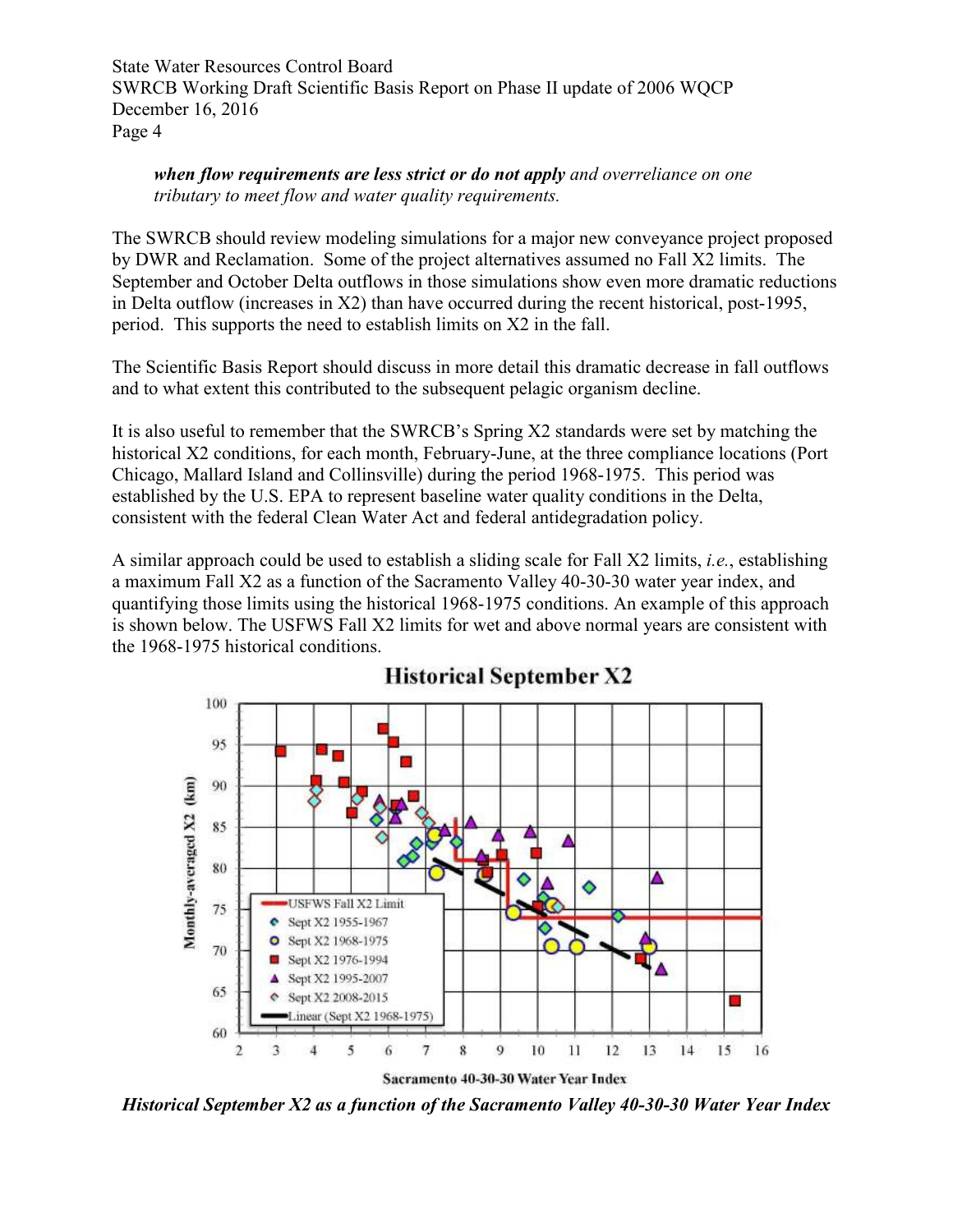*when flow requirements are less strict or do not apply and overreliance on one tributary to meet flow and water quality requirements.* 

The SWRCB should review modeling simulations for a major new conveyance project proposed by DWR and Reclamation. Some of the project alternatives assumed no Fall X2 limits. The September and October Delta outflows in those simulations show even more dramatic reductions in Delta outflow (increases in X2) than have occurred during the recent historical, post-1995, period. This supports the need to establish limits on X2 in the fall.

The Scientific Basis Report should discuss in more detail this dramatic decrease in fall outflows and to what extent this contributed to the subsequent pelagic organism decline.

It is also useful to remember that the SWRCB's Spring X2 standards were set by matching the historical X2 conditions, for each month, February-June, at the three compliance locations (Port Chicago, Mallard Island and Collinsville) during the period 1968-1975. This period was established by the U.S. EPA to represent baseline water quality conditions in the Delta, consistent with the federal Clean Water Act and federal antidegradation policy.

A similar approach could be used to establish a sliding scale for Fall X2 limits, *i.e.*, establishing a maximum Fall X2 as a function of the Sacramento Valley 40-30-30 water year index, and quantifying those limits using the historical 1968-1975 conditions. An example of this approach is shown below. The USFWS Fall X2 limits for wet and above normal years are consistent with the 1968-1975 historical conditions.



## **Historical September X2**

*Historical September X2 as a function of the Sacramento Valley 40-30-30 Water Year Index*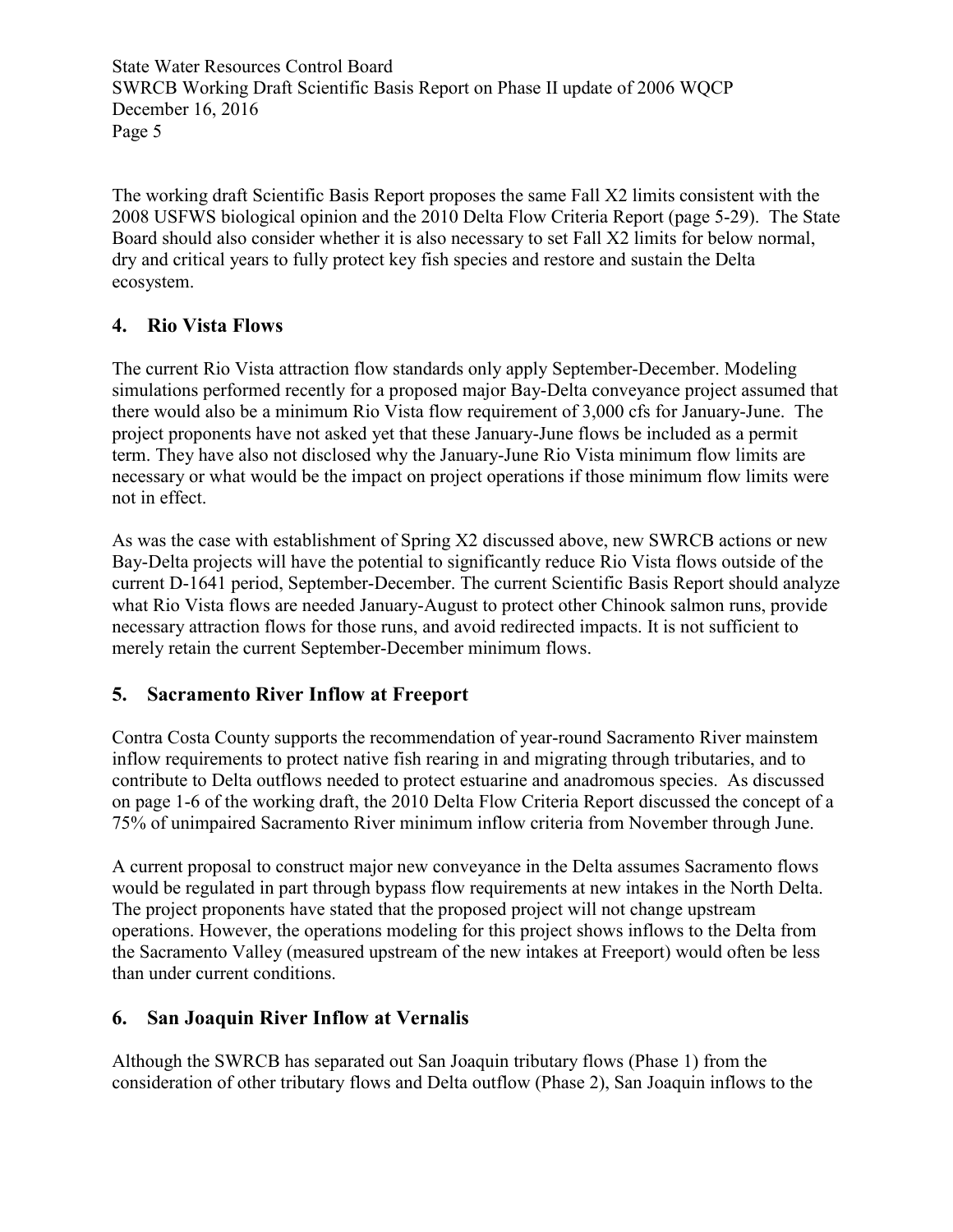The working draft Scientific Basis Report proposes the same Fall X2 limits consistent with the 2008 USFWS biological opinion and the 2010 Delta Flow Criteria Report (page 5-29). The State Board should also consider whether it is also necessary to set Fall X2 limits for below normal, dry and critical years to fully protect key fish species and restore and sustain the Delta ecosystem.

## **4. Rio Vista Flows**

The current Rio Vista attraction flow standards only apply September-December. Modeling simulations performed recently for a proposed major Bay-Delta conveyance project assumed that there would also be a minimum Rio Vista flow requirement of 3,000 cfs for January-June. The project proponents have not asked yet that these January-June flows be included as a permit term. They have also not disclosed why the January-June Rio Vista minimum flow limits are necessary or what would be the impact on project operations if those minimum flow limits were not in effect.

As was the case with establishment of Spring X2 discussed above, new SWRCB actions or new Bay-Delta projects will have the potential to significantly reduce Rio Vista flows outside of the current D-1641 period, September-December. The current Scientific Basis Report should analyze what Rio Vista flows are needed January-August to protect other Chinook salmon runs, provide necessary attraction flows for those runs, and avoid redirected impacts. It is not sufficient to merely retain the current September-December minimum flows.

## **5. Sacramento River Inflow at Freeport**

Contra Costa County supports the recommendation of year-round Sacramento River mainstem inflow requirements to protect native fish rearing in and migrating through tributaries, and to contribute to Delta outflows needed to protect estuarine and anadromous species. As discussed on page 1-6 of the working draft, the 2010 Delta Flow Criteria Report discussed the concept of a 75% of unimpaired Sacramento River minimum inflow criteria from November through June.

A current proposal to construct major new conveyance in the Delta assumes Sacramento flows would be regulated in part through bypass flow requirements at new intakes in the North Delta. The project proponents have stated that the proposed project will not change upstream operations. However, the operations modeling for this project shows inflows to the Delta from the Sacramento Valley (measured upstream of the new intakes at Freeport) would often be less than under current conditions.

## **6. San Joaquin River Inflow at Vernalis**

Although the SWRCB has separated out San Joaquin tributary flows (Phase 1) from the consideration of other tributary flows and Delta outflow (Phase 2), San Joaquin inflows to the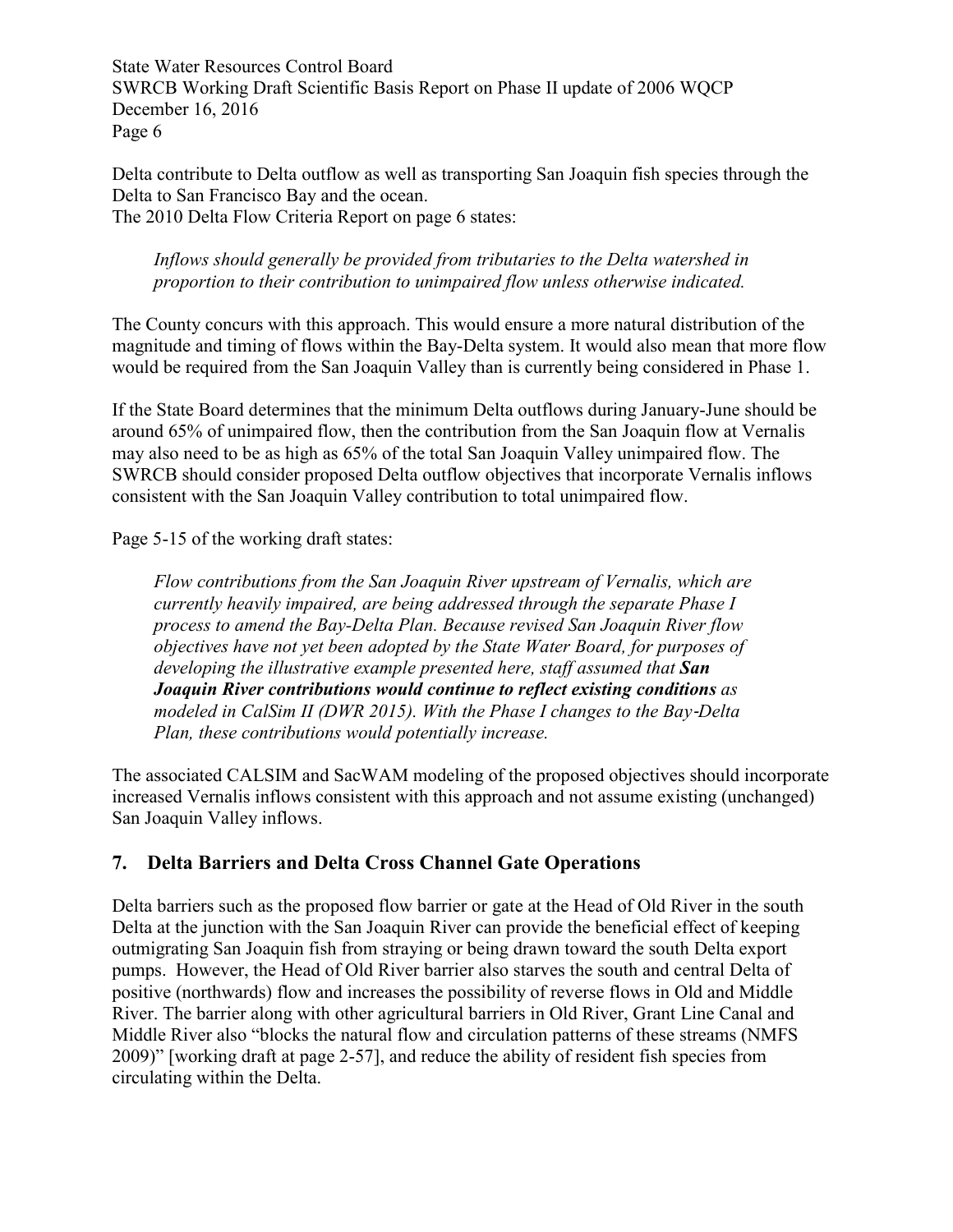Delta contribute to Delta outflow as well as transporting San Joaquin fish species through the Delta to San Francisco Bay and the ocean. The 2010 Delta Flow Criteria Report on page 6 states:

#### *Inflows should generally be provided from tributaries to the Delta watershed in proportion to their contribution to unimpaired flow unless otherwise indicated.*

The County concurs with this approach. This would ensure a more natural distribution of the magnitude and timing of flows within the Bay-Delta system. It would also mean that more flow would be required from the San Joaquin Valley than is currently being considered in Phase 1.

If the State Board determines that the minimum Delta outflows during January-June should be around 65% of unimpaired flow, then the contribution from the San Joaquin flow at Vernalis may also need to be as high as 65% of the total San Joaquin Valley unimpaired flow. The SWRCB should consider proposed Delta outflow objectives that incorporate Vernalis inflows consistent with the San Joaquin Valley contribution to total unimpaired flow.

Page 5-15 of the working draft states:

*Flow contributions from the San Joaquin River upstream of Vernalis, which are currently heavily impaired, are being addressed through the separate Phase I process to amend the Bay-Delta Plan. Because revised San Joaquin River flow objectives have not yet been adopted by the State Water Board, for purposes of developing the illustrative example presented here, staff assumed that San Joaquin River contributions would continue to reflect existing conditions as modeled in CalSim II (DWR 2015). With the Phase I changes to the Bay*‐*Delta Plan, these contributions would potentially increase.* 

The associated CALSIM and SacWAM modeling of the proposed objectives should incorporate increased Vernalis inflows consistent with this approach and not assume existing (unchanged) San Joaquin Valley inflows.

## **7. Delta Barriers and Delta Cross Channel Gate Operations**

Delta barriers such as the proposed flow barrier or gate at the Head of Old River in the south Delta at the junction with the San Joaquin River can provide the beneficial effect of keeping outmigrating San Joaquin fish from straying or being drawn toward the south Delta export pumps. However, the Head of Old River barrier also starves the south and central Delta of positive (northwards) flow and increases the possibility of reverse flows in Old and Middle River. The barrier along with other agricultural barriers in Old River, Grant Line Canal and Middle River also "blocks the natural flow and circulation patterns of these streams (NMFS 2009)" [working draft at page 2-57], and reduce the ability of resident fish species from circulating within the Delta.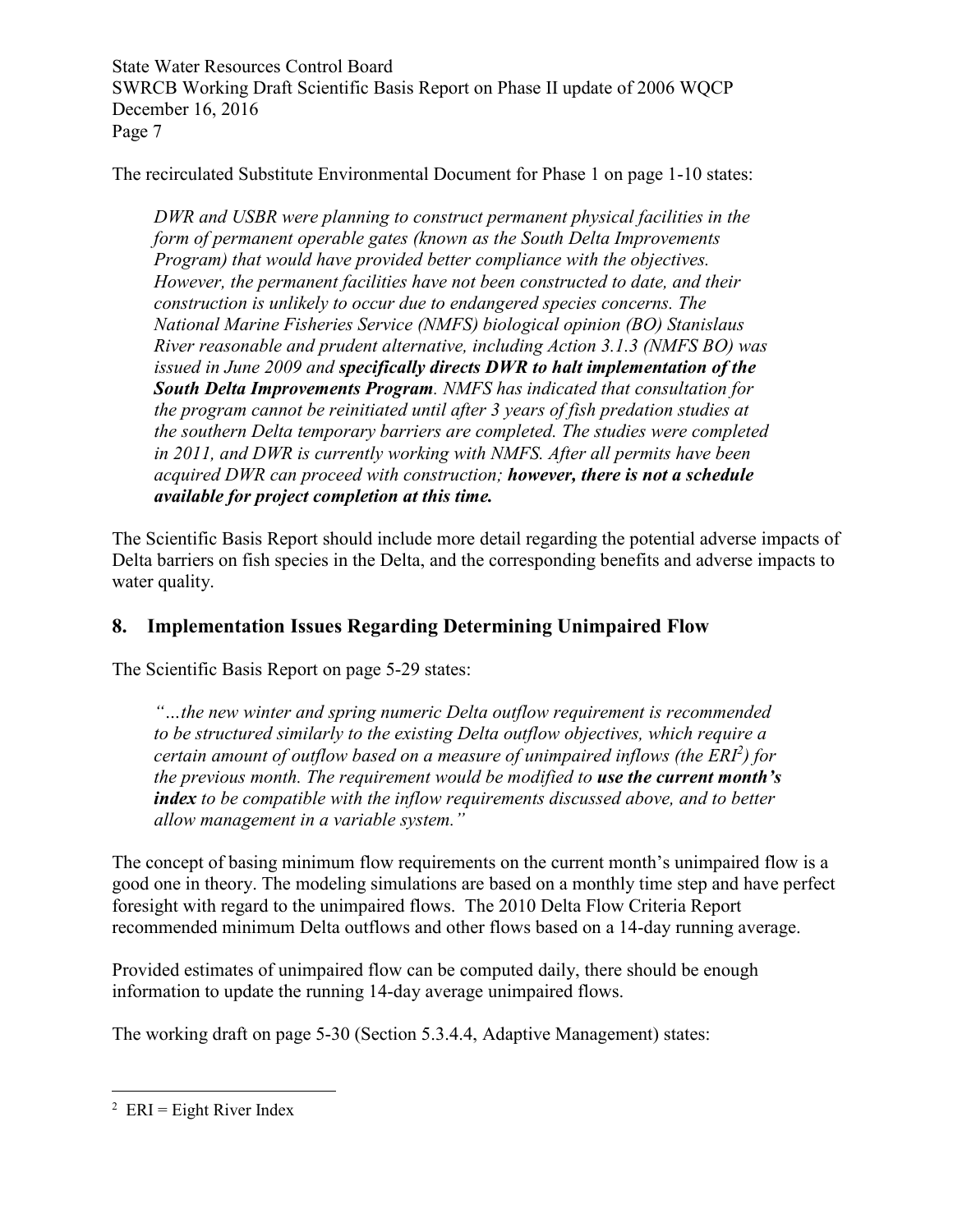The recirculated Substitute Environmental Document for Phase 1 on page 1-10 states:

*DWR and USBR were planning to construct permanent physical facilities in the form of permanent operable gates (known as the South Delta Improvements Program) that would have provided better compliance with the objectives. However, the permanent facilities have not been constructed to date, and their construction is unlikely to occur due to endangered species concerns. The National Marine Fisheries Service (NMFS) biological opinion (BO) Stanislaus River reasonable and prudent alternative, including Action 3.1.3 (NMFS BO) was issued in June 2009 and specifically directs DWR to halt implementation of the South Delta Improvements Program. NMFS has indicated that consultation for the program cannot be reinitiated until after 3 years of fish predation studies at the southern Delta temporary barriers are completed. The studies were completed in 2011, and DWR is currently working with NMFS. After all permits have been acquired DWR can proceed with construction; however, there is not a schedule available for project completion at this time.* 

The Scientific Basis Report should include more detail regarding the potential adverse impacts of Delta barriers on fish species in the Delta, and the corresponding benefits and adverse impacts to water quality.

# **8. Implementation Issues Regarding Determining Unimpaired Flow**

The Scientific Basis Report on page 5-29 states:

*"…the new winter and spring numeric Delta outflow requirement is recommended to be structured similarly to the existing Delta outflow objectives, which require a certain amount of outflow based on a measure of unimpaired inflows (the ERI<sup>2</sup> ) for the previous month. The requirement would be modified to use the current month's index to be compatible with the inflow requirements discussed above, and to better allow management in a variable system."* 

The concept of basing minimum flow requirements on the current month's unimpaired flow is a good one in theory. The modeling simulations are based on a monthly time step and have perfect foresight with regard to the unimpaired flows. The 2010 Delta Flow Criteria Report recommended minimum Delta outflows and other flows based on a 14-day running average.

Provided estimates of unimpaired flow can be computed daily, there should be enough information to update the running 14-day average unimpaired flows.

The working draft on page 5-30 (Section 5.3.4.4, Adaptive Management) states:

 $\frac{1}{2}$  ERI = Eight River Index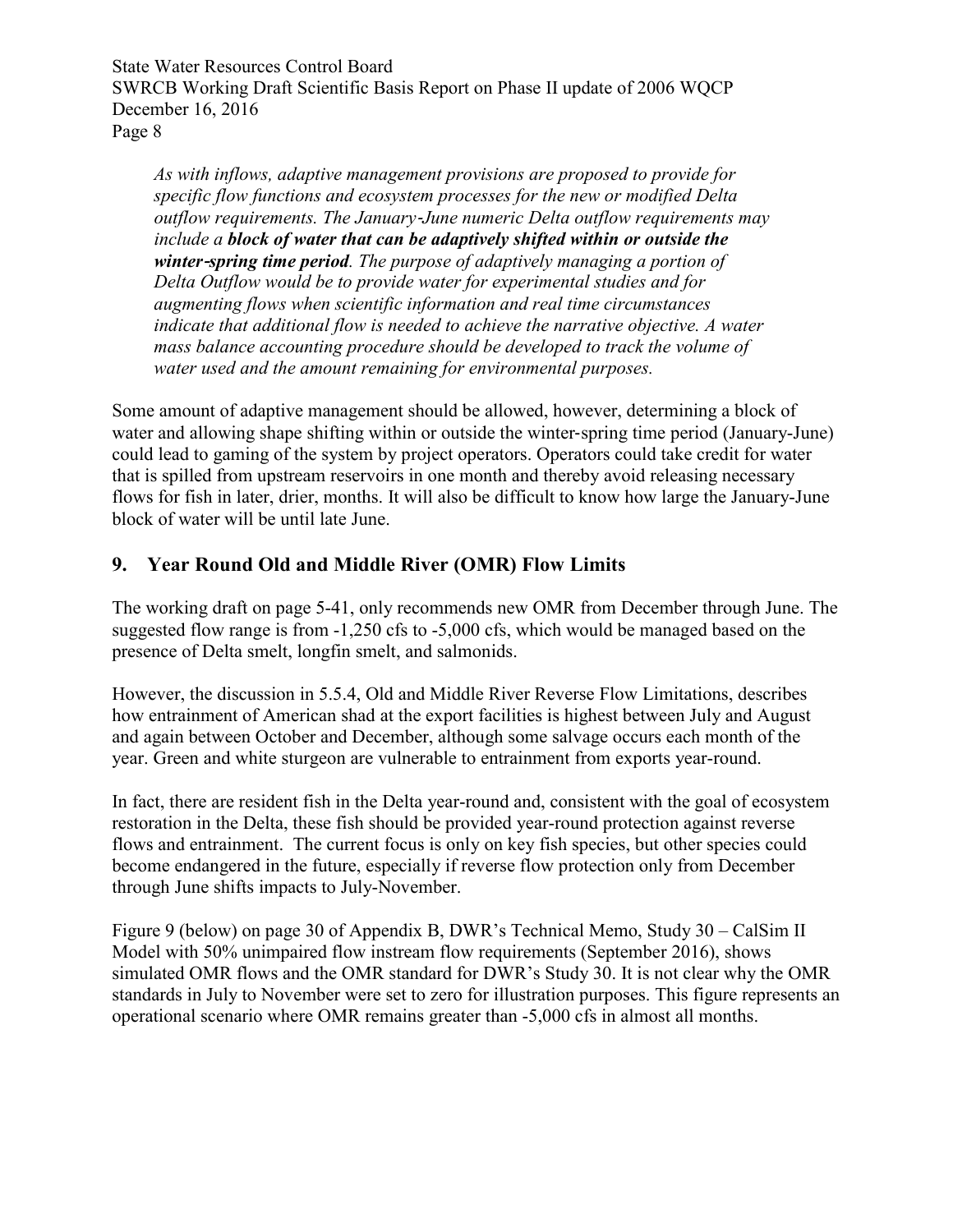*As with inflows, adaptive management provisions are proposed to provide for specific flow functions and ecosystem processes for the new or modified Delta outflow requirements. The January*‐*June numeric Delta outflow requirements may include a block of water that can be adaptively shifted within or outside the winter*‐*spring time period. The purpose of adaptively managing a portion of Delta Outflow would be to provide water for experimental studies and for augmenting flows when scientific information and real time circumstances indicate that additional flow is needed to achieve the narrative objective. A water mass balance accounting procedure should be developed to track the volume of water used and the amount remaining for environmental purposes.* 

Some amount of adaptive management should be allowed, however, determining a block of water and allowing shape shifting within or outside the winter-spring time period (January-June) could lead to gaming of the system by project operators. Operators could take credit for water that is spilled from upstream reservoirs in one month and thereby avoid releasing necessary flows for fish in later, drier, months. It will also be difficult to know how large the January-June block of water will be until late June.

#### **9. Year Round Old and Middle River (OMR) Flow Limits**

The working draft on page 5-41, only recommends new OMR from December through June. The suggested flow range is from -1,250 cfs to -5,000 cfs, which would be managed based on the presence of Delta smelt, longfin smelt, and salmonids.

However, the discussion in 5.5.4, Old and Middle River Reverse Flow Limitations, describes how entrainment of American shad at the export facilities is highest between July and August and again between October and December, although some salvage occurs each month of the year. Green and white sturgeon are vulnerable to entrainment from exports year-round.

In fact, there are resident fish in the Delta year-round and, consistent with the goal of ecosystem restoration in the Delta, these fish should be provided year-round protection against reverse flows and entrainment. The current focus is only on key fish species, but other species could become endangered in the future, especially if reverse flow protection only from December through June shifts impacts to July-November.

Figure 9 (below) on page 30 of Appendix B, DWR's Technical Memo, Study 30 – CalSim II Model with 50% unimpaired flow instream flow requirements (September 2016), shows simulated OMR flows and the OMR standard for DWR's Study 30. It is not clear why the OMR standards in July to November were set to zero for illustration purposes. This figure represents an operational scenario where OMR remains greater than -5,000 cfs in almost all months.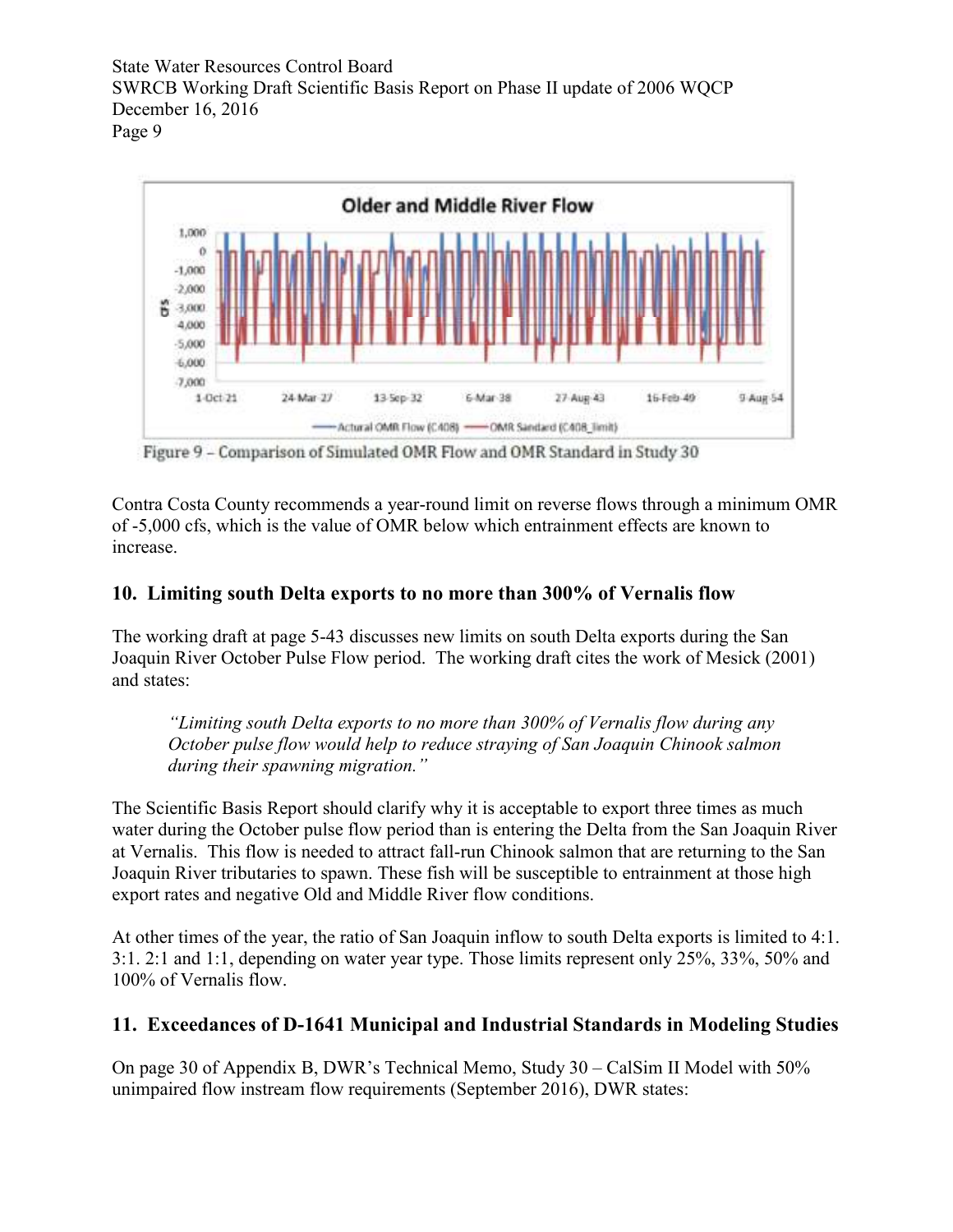

Figure 9 - Comparison of Simulated OMR Flow and OMR Standard in Study 30

Contra Costa County recommends a year-round limit on reverse flows through a minimum OMR of -5,000 cfs, which is the value of OMR below which entrainment effects are known to increase.

#### **10. Limiting south Delta exports to no more than 300% of Vernalis flow**

The working draft at page 5-43 discusses new limits on south Delta exports during the San Joaquin River October Pulse Flow period. The working draft cites the work of Mesick (2001) and states:

*"Limiting south Delta exports to no more than 300% of Vernalis flow during any October pulse flow would help to reduce straying of San Joaquin Chinook salmon during their spawning migration."* 

The Scientific Basis Report should clarify why it is acceptable to export three times as much water during the October pulse flow period than is entering the Delta from the San Joaquin River at Vernalis. This flow is needed to attract fall-run Chinook salmon that are returning to the San Joaquin River tributaries to spawn. These fish will be susceptible to entrainment at those high export rates and negative Old and Middle River flow conditions.

At other times of the year, the ratio of San Joaquin inflow to south Delta exports is limited to 4:1. 3:1. 2:1 and 1:1, depending on water year type. Those limits represent only 25%, 33%, 50% and 100% of Vernalis flow.

#### **11. Exceedances of D-1641 Municipal and Industrial Standards in Modeling Studies**

On page 30 of Appendix B, DWR's Technical Memo, Study 30 – CalSim II Model with 50% unimpaired flow instream flow requirements (September 2016), DWR states: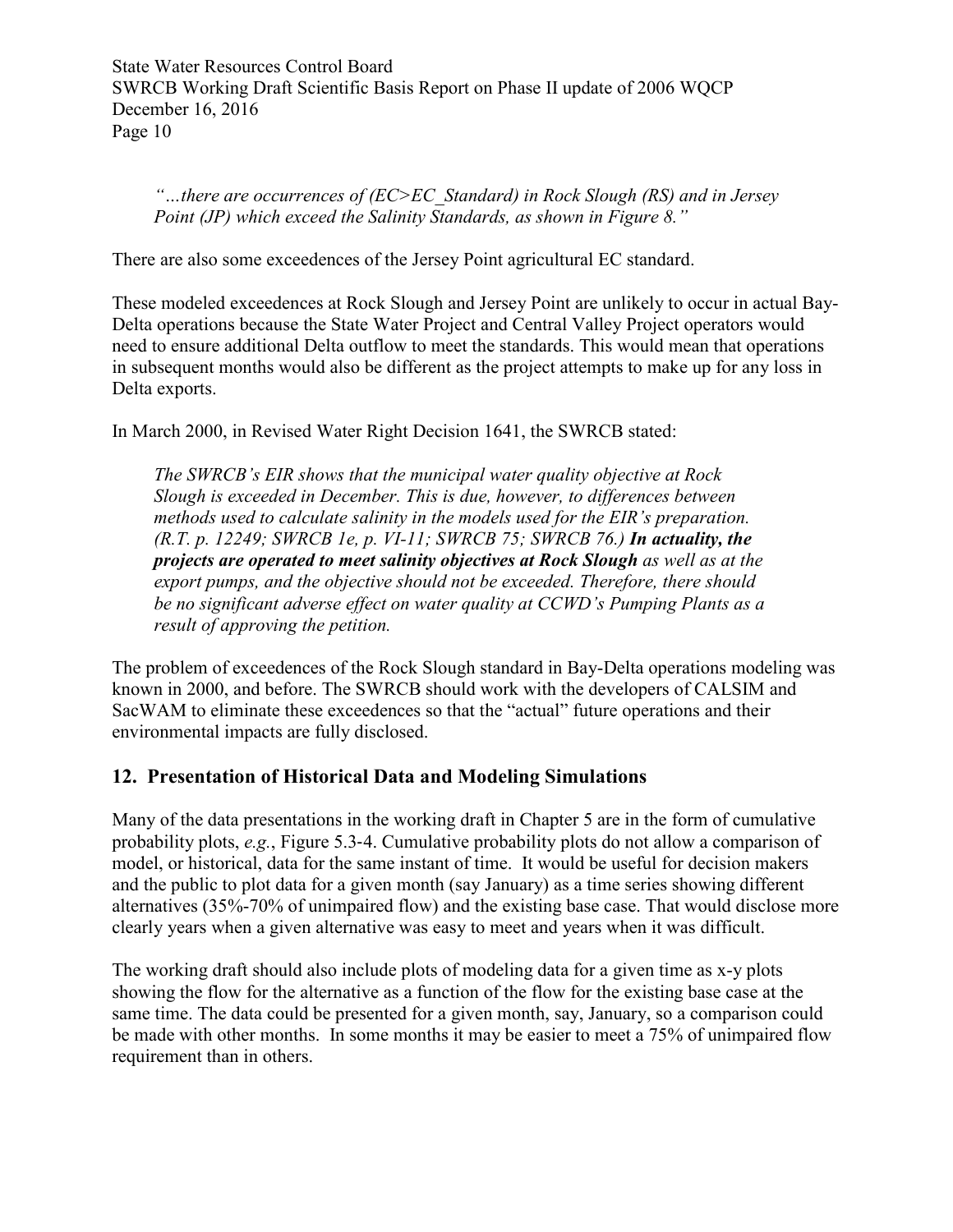*"…there are occurrences of (EC>EC\_Standard) in Rock Slough (RS) and in Jersey Point (JP) which exceed the Salinity Standards, as shown in Figure 8."* 

There are also some exceedences of the Jersey Point agricultural EC standard.

These modeled exceedences at Rock Slough and Jersey Point are unlikely to occur in actual Bay-Delta operations because the State Water Project and Central Valley Project operators would need to ensure additional Delta outflow to meet the standards. This would mean that operations in subsequent months would also be different as the project attempts to make up for any loss in Delta exports.

In March 2000, in Revised Water Right Decision 1641, the SWRCB stated:

*The SWRCB's EIR shows that the municipal water quality objective at Rock Slough is exceeded in December. This is due, however, to differences between methods used to calculate salinity in the models used for the EIR's preparation. (R.T. p. 12249; SWRCB 1e, p. VI-11; SWRCB 75; SWRCB 76.) In actuality, the projects are operated to meet salinity objectives at Rock Slough as well as at the export pumps, and the objective should not be exceeded. Therefore, there should be no significant adverse effect on water quality at CCWD's Pumping Plants as a result of approving the petition.* 

The problem of exceedences of the Rock Slough standard in Bay-Delta operations modeling was known in 2000, and before. The SWRCB should work with the developers of CALSIM and SacWAM to eliminate these exceedences so that the "actual" future operations and their environmental impacts are fully disclosed.

#### **12. Presentation of Historical Data and Modeling Simulations**

Many of the data presentations in the working draft in Chapter 5 are in the form of cumulative probability plots, *e.g.*, Figure 5.3‐4. Cumulative probability plots do not allow a comparison of model, or historical, data for the same instant of time. It would be useful for decision makers and the public to plot data for a given month (say January) as a time series showing different alternatives (35%-70% of unimpaired flow) and the existing base case. That would disclose more clearly years when a given alternative was easy to meet and years when it was difficult.

The working draft should also include plots of modeling data for a given time as x-y plots showing the flow for the alternative as a function of the flow for the existing base case at the same time. The data could be presented for a given month, say, January, so a comparison could be made with other months. In some months it may be easier to meet a 75% of unimpaired flow requirement than in others.